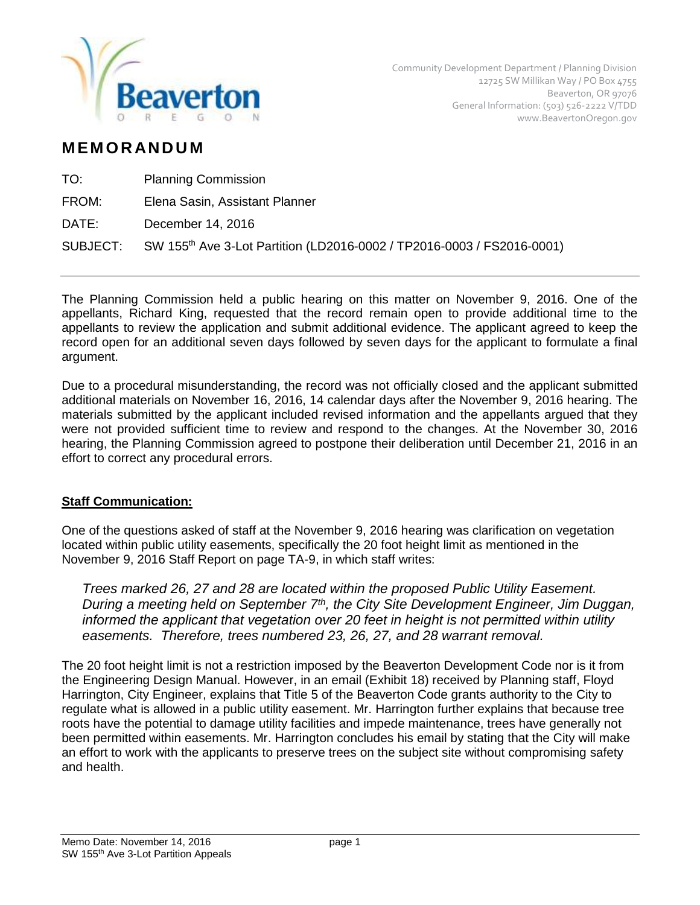

## **M EM O R AN D U M**

| TO:   | <b>Planning Commission</b>                                                                  |
|-------|---------------------------------------------------------------------------------------------|
| FROM: | Elena Sasin, Assistant Planner                                                              |
| DATE: | December 14, 2016                                                                           |
|       | SUBJECT: SW 155 <sup>th</sup> Ave 3-Lot Partition (LD2016-0002 / TP2016-0003 / FS2016-0001) |
|       |                                                                                             |

The Planning Commission held a public hearing on this matter on November 9, 2016. One of the appellants, Richard King, requested that the record remain open to provide additional time to the appellants to review the application and submit additional evidence. The applicant agreed to keep the record open for an additional seven days followed by seven days for the applicant to formulate a final argument.

Due to a procedural misunderstanding, the record was not officially closed and the applicant submitted additional materials on November 16, 2016, 14 calendar days after the November 9, 2016 hearing. The materials submitted by the applicant included revised information and the appellants argued that they were not provided sufficient time to review and respond to the changes. At the November 30, 2016 hearing, the Planning Commission agreed to postpone their deliberation until December 21, 2016 in an effort to correct any procedural errors.

## **Staff Communication:**

One of the questions asked of staff at the November 9, 2016 hearing was clarification on vegetation located within public utility easements, specifically the 20 foot height limit as mentioned in the November 9, 2016 Staff Report on page TA-9, in which staff writes:

*Trees marked 26, 27 and 28 are located within the proposed Public Utility Easement. During a meeting held on September 7th, the City Site Development Engineer, Jim Duggan, informed the applicant that vegetation over 20 feet in height is not permitted within utility easements. Therefore, trees numbered 23, 26, 27, and 28 warrant removal.* 

The 20 foot height limit is not a restriction imposed by the Beaverton Development Code nor is it from the Engineering Design Manual. However, in an email (Exhibit 18) received by Planning staff, Floyd Harrington, City Engineer, explains that Title 5 of the Beaverton Code grants authority to the City to regulate what is allowed in a public utility easement. Mr. Harrington further explains that because tree roots have the potential to damage utility facilities and impede maintenance, trees have generally not been permitted within easements. Mr. Harrington concludes his email by stating that the City will make an effort to work with the applicants to preserve trees on the subject site without compromising safety and health.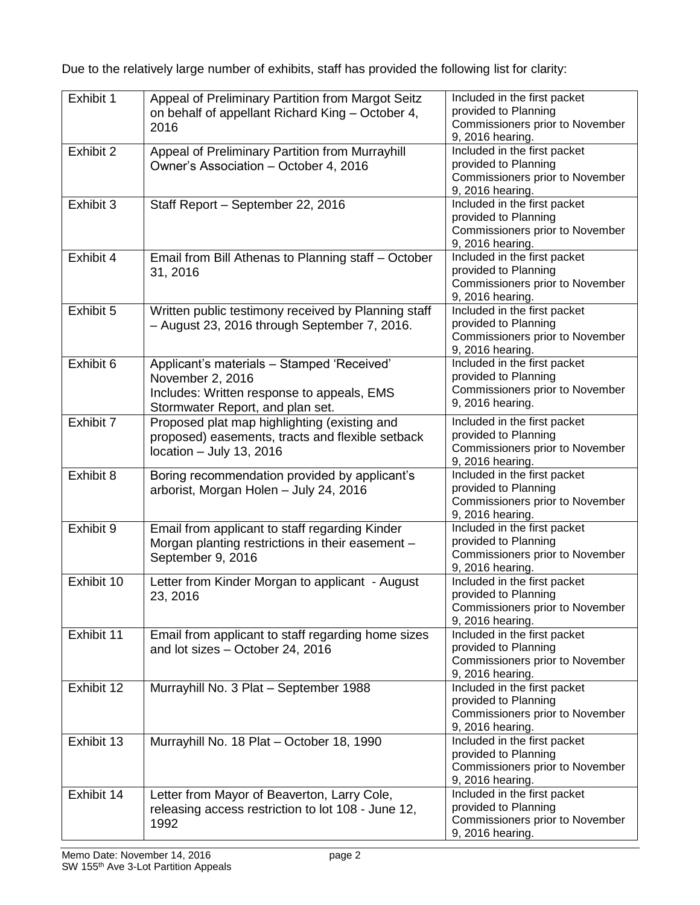Due to the relatively large number of exhibits, staff has provided the following list for clarity:

| Exhibit 1  | Appeal of Preliminary Partition from Margot Seitz<br>on behalf of appellant Richard King - October 4,<br>2016                                    | Included in the first packet<br>provided to Planning<br>Commissioners prior to November<br>9, 2016 hearing. |
|------------|--------------------------------------------------------------------------------------------------------------------------------------------------|-------------------------------------------------------------------------------------------------------------|
| Exhibit 2  | Appeal of Preliminary Partition from Murrayhill<br>Owner's Association - October 4, 2016                                                         | Included in the first packet<br>provided to Planning<br>Commissioners prior to November<br>9, 2016 hearing. |
| Exhibit 3  | Staff Report - September 22, 2016                                                                                                                | Included in the first packet<br>provided to Planning<br>Commissioners prior to November<br>9, 2016 hearing. |
| Exhibit 4  | Email from Bill Athenas to Planning staff - October<br>31, 2016                                                                                  | Included in the first packet<br>provided to Planning<br>Commissioners prior to November<br>9, 2016 hearing. |
| Exhibit 5  | Written public testimony received by Planning staff<br>- August 23, 2016 through September 7, 2016.                                              | Included in the first packet<br>provided to Planning<br>Commissioners prior to November<br>9, 2016 hearing. |
| Exhibit 6  | Applicant's materials - Stamped 'Received'<br>November 2, 2016<br>Includes: Written response to appeals, EMS<br>Stormwater Report, and plan set. | Included in the first packet<br>provided to Planning<br>Commissioners prior to November<br>9, 2016 hearing. |
| Exhibit 7  | Proposed plat map highlighting (existing and<br>proposed) easements, tracts and flexible setback<br>location - July 13, 2016                     | Included in the first packet<br>provided to Planning<br>Commissioners prior to November<br>9, 2016 hearing. |
| Exhibit 8  | Boring recommendation provided by applicant's<br>arborist, Morgan Holen - July 24, 2016                                                          | Included in the first packet<br>provided to Planning<br>Commissioners prior to November<br>9, 2016 hearing. |
| Exhibit 9  | Email from applicant to staff regarding Kinder<br>Morgan planting restrictions in their easement -<br>September 9, 2016                          | Included in the first packet<br>provided to Planning<br>Commissioners prior to November<br>9, 2016 hearing. |
| Exhibit 10 | Letter from Kinder Morgan to applicant - August<br>23, 2016                                                                                      | Included in the first packet<br>provided to Planning<br>Commissioners prior to November<br>9, 2016 hearing. |
| Exhibit 11 | Email from applicant to staff regarding home sizes<br>and lot sizes - October 24, 2016                                                           | Included in the first packet<br>provided to Planning<br>Commissioners prior to November<br>9, 2016 hearing. |
| Exhibit 12 | Murrayhill No. 3 Plat - September 1988                                                                                                           | Included in the first packet<br>provided to Planning<br>Commissioners prior to November<br>9, 2016 hearing. |
| Exhibit 13 | Murrayhill No. 18 Plat - October 18, 1990                                                                                                        | Included in the first packet<br>provided to Planning<br>Commissioners prior to November<br>9, 2016 hearing. |
| Exhibit 14 | Letter from Mayor of Beaverton, Larry Cole,<br>releasing access restriction to lot 108 - June 12,<br>1992                                        | Included in the first packet<br>provided to Planning<br>Commissioners prior to November<br>9, 2016 hearing. |